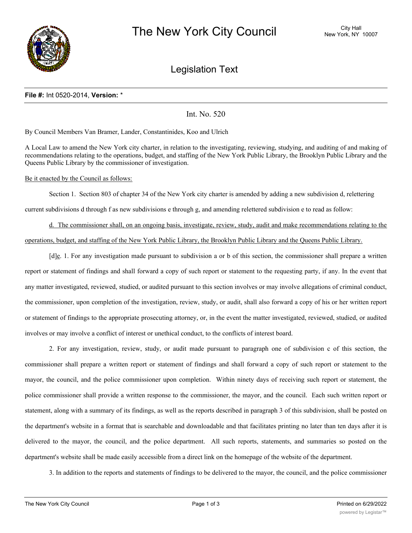

# Legislation Text

### **File #:** Int 0520-2014, **Version:** \*

Int. No. 520

By Council Members Van Bramer, Lander, Constantinides, Koo and Ulrich

A Local Law to amend the New York city charter, in relation to the investigating, reviewing, studying, and auditing of and making of recommendations relating to the operations, budget, and staffing of the New York Public Library, the Brooklyn Public Library and the Queens Public Library by the commissioner of investigation.

#### Be it enacted by the Council as follows:

Section 1. Section 803 of chapter 34 of the New York city charter is amended by adding a new subdivision d, relettering current subdivisions d through f as new subdivisions e through g, and amending relettered subdivision e to read as follow:

d. The commissioner shall, on an ongoing basis, investigate, review, study, audit and make recommendations relating to the operations, budget, and staffing of the New York Public Library, the Brooklyn Public Library and the Queens Public Library.

 $[d]_e$ . 1. For any investigation made pursuant to subdivision a or b of this section, the commissioner shall prepare a written report or statement of findings and shall forward a copy of such report or statement to the requesting party, if any. In the event that any matter investigated, reviewed, studied, or audited pursuant to this section involves or may involve allegations of criminal conduct, the commissioner, upon completion of the investigation, review, study, or audit, shall also forward a copy of his or her written report or statement of findings to the appropriate prosecuting attorney, or, in the event the matter investigated, reviewed, studied, or audited involves or may involve a conflict of interest or unethical conduct, to the conflicts of interest board.

2. For any investigation, review, study, or audit made pursuant to paragraph one of subdivision c of this section, the commissioner shall prepare a written report or statement of findings and shall forward a copy of such report or statement to the mayor, the council, and the police commissioner upon completion. Within ninety days of receiving such report or statement, the police commissioner shall provide a written response to the commissioner, the mayor, and the council. Each such written report or statement, along with a summary of its findings, as well as the reports described in paragraph 3 of this subdivision, shall be posted on the department's website in a format that is searchable and downloadable and that facilitates printing no later than ten days after it is delivered to the mayor, the council, and the police department. All such reports, statements, and summaries so posted on the department's website shall be made easily accessible from a direct link on the homepage of the website of the department.

3. In addition to the reports and statements of findings to be delivered to the mayor, the council, and the police commissioner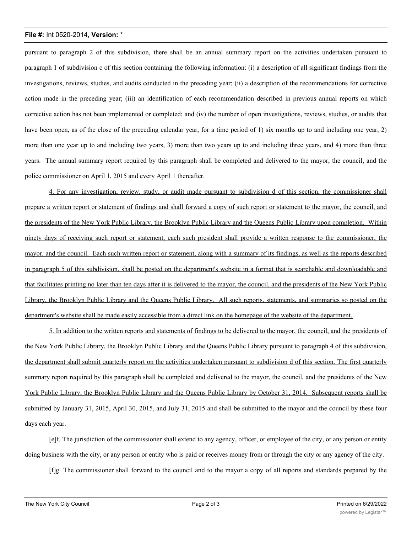## **File #:** Int 0520-2014, **Version:** \*

pursuant to paragraph 2 of this subdivision, there shall be an annual summary report on the activities undertaken pursuant to paragraph 1 of subdivision c of this section containing the following information: (i) a description of all significant findings from the investigations, reviews, studies, and audits conducted in the preceding year; (ii) a description of the recommendations for corrective action made in the preceding year; (iii) an identification of each recommendation described in previous annual reports on which corrective action has not been implemented or completed; and (iv) the number of open investigations, reviews, studies, or audits that have been open, as of the close of the preceding calendar year, for a time period of 1) six months up to and including one year, 2) more than one year up to and including two years, 3) more than two years up to and including three years, and 4) more than three years. The annual summary report required by this paragraph shall be completed and delivered to the mayor, the council, and the police commissioner on April 1, 2015 and every April 1 thereafter.

4. For any investigation, review, study, or audit made pursuant to subdivision d of this section, the commissioner shall prepare a written report or statement of findings and shall forward a copy of such report or statement to the mayor, the council, and the presidents of the New York Public Library, the Brooklyn Public Library and the Queens Public Library upon completion. Within ninety days of receiving such report or statement, each such president shall provide a written response to the commissioner, the mayor, and the council. Each such written report or statement, along with a summary of its findings, as well as the reports described in paragraph 5 of this subdivision, shall be posted on the department's website in a format that is searchable and downloadable and that facilitates printing no later than ten days after it is delivered to the mayor, the council, and the presidents of the New York Public Library, the Brooklyn Public Library and the Queens Public Library. All such reports, statements, and summaries so posted on the department's website shall be made easily accessible from a direct link on the homepage of the website of the department.

5. In addition to the written reports and statements of findings to be delivered to the mayor, the council, and the presidents of the New York Public Library, the Brooklyn Public Library and the Queens Public Library pursuant to paragraph 4 of this subdivision, the department shall submit quarterly report on the activities undertaken pursuant to subdivision d of this section. The first quarterly summary report required by this paragraph shall be completed and delivered to the mayor, the council, and the presidents of the New York Public Library, the Brooklyn Public Library and the Queens Public Library by October 31, 2014. Subsequent reports shall be submitted by January 31, 2015, April 30, 2015, and July 31, 2015 and shall be submitted to the mayor and the council by these four days each year.

[e]f. The jurisdiction of the commissioner shall extend to any agency, officer, or employee of the city, or any person or entity doing business with the city, or any person or entity who is paid or receives money from or through the city or any agency of the city.

[f]g. The commissioner shall forward to the council and to the mayor a copy of all reports and standards prepared by the